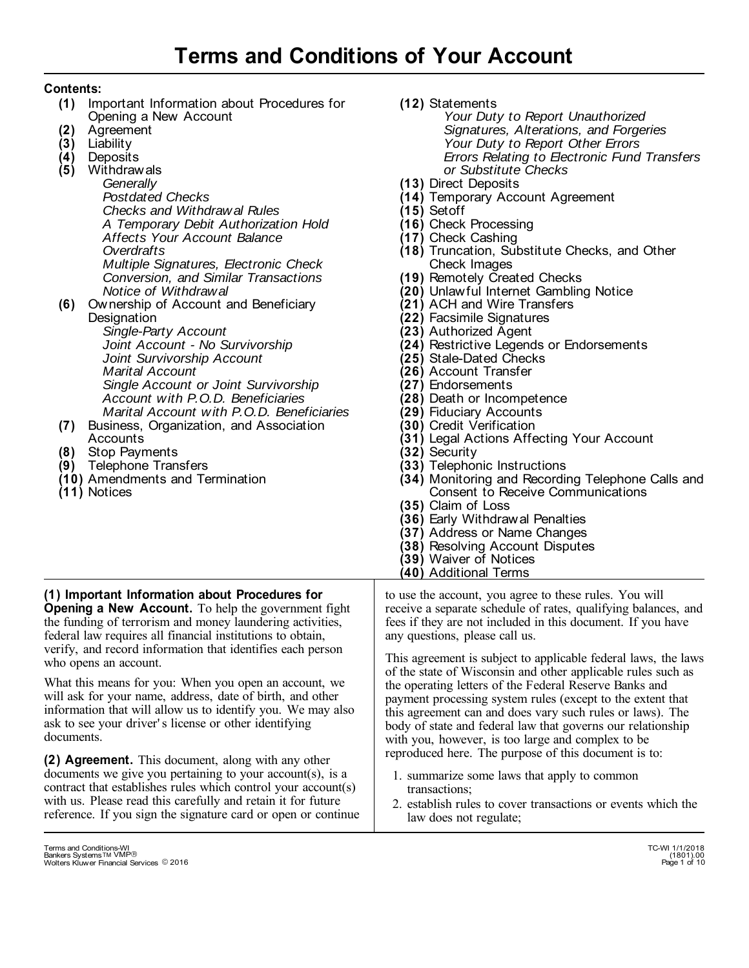# **Contents:**

- (1) Important Information about Procedures for Opening a New Account
- Agreement **(2)**
- Liability **(3)**
- Deposits **(4)**
- Withdrawals **(5)**

*Generally Postdated Checks Checks and Withdrawal Rules A Temporary Debit Authorization Hold Affects Your Account Balance Overdrafts Multiple Signatures, Electronic Check Conversion, and Similar Transactions Notice of Withdrawal* 

Ownership of Account and Beneficiary **(6) Designation** 

*Single-Party Account Joint Account - No Survivorship Joint Survivorship Account Marital Account Single Account or Joint Survivorship Account with P.O.D. Beneficiaries Marital Account with P.O.D. Beneficiaries*

- Business, Organization, and Association **(7)**  Accounts
- Stop Payments **(8)**
- Telephone Transfers **(9)**
- Amendments and Termination **(10)**
- (11) Notices

**(12)**  Statements

- *Your Duty to Report Unauthorized Signatures, Alterations, and Forgeries Your Duty to Report Other Errors Errors Relating to Electronic Fund Transfers or Substitute Checks*
- **(13)**  Direct Deposits
- **(14)**  Temporary Account Agreement
- **(15)**  Setoff
- **(16)**  Check Processing
- **(17)**  Check Cashing
- **(18)**  Truncation, Substitute Checks, and Other Check Images
- **(19)**  Remotely Created Checks
- **(20)**  Unlawful Internet Gambling Notice
- **(21)**  ACH and Wire Transfers
- **(22)**  Facsimile Signatures
- **(23)**  Authorized Agent
- **(24)**  Restrictive Legends or Endorsements
- **(25)**  Stale-Dated Checks
- **(26)**  Account Transfer
- **(27)**  Endorsements
- **(28)**  Death or Incompetence
- **(29)**  Fiduciary Accounts
- **(30)**  Credit Verification
- **(31)**  Legal Actions Affecting Your Account
- **(32)**  Security
- **(33)**  Telephonic Instructions
- **(34)**  Monitoring and Recording Telephone Calls and Consent to Receive Communications
- **(35)**  Claim of Loss
- **(36)**  Early Withdrawal Penalties
- **(37)**  Address or Name Changes
- **(38)**  Resolving Account Disputes
- **(39)**  Waiver of Notices
- **(40)** Additional Terms

**(1) Important Information about Procedures for Opening a New Account.** To help the government fight the funding of terrorism and money laundering activities, federal law requires all financial institutions to obtain, verify, and record information that identifies each person who opens an account.

What this means for you: When you open an account, we will ask for your name, address, date of birth, and other information that will allow us to identify you. We may also ask to see your driver' s license or other identifying documents.

**(2) Agreement.** This document, along with any other documents we give you pertaining to your account(s), is a contract that establishes rules which control your account(s) with us. Please read this carefully and retain it for future reference. If you sign the signature card or open or continue to use the account, you agree to these rules. You will receive a separate schedule of rates, qualifying balances, and fees if they are not included in this document. If you have any questions, please call us.

This agreement is subject to applicable federal laws, the laws of the state of Wisconsin and other applicable rules such as the operating letters of the Federal Reserve Banks and payment processing system rules (except to the extent that this agreement can and does vary such rules or laws). The body of state and federal law that governs our relationship with you, however, is too large and complex to be reproduced here. The purpose of this document is to:

- 1. summarize some laws that apply to common transactions;
- 2. establish rules to cover transactions or events which the law does not regulate;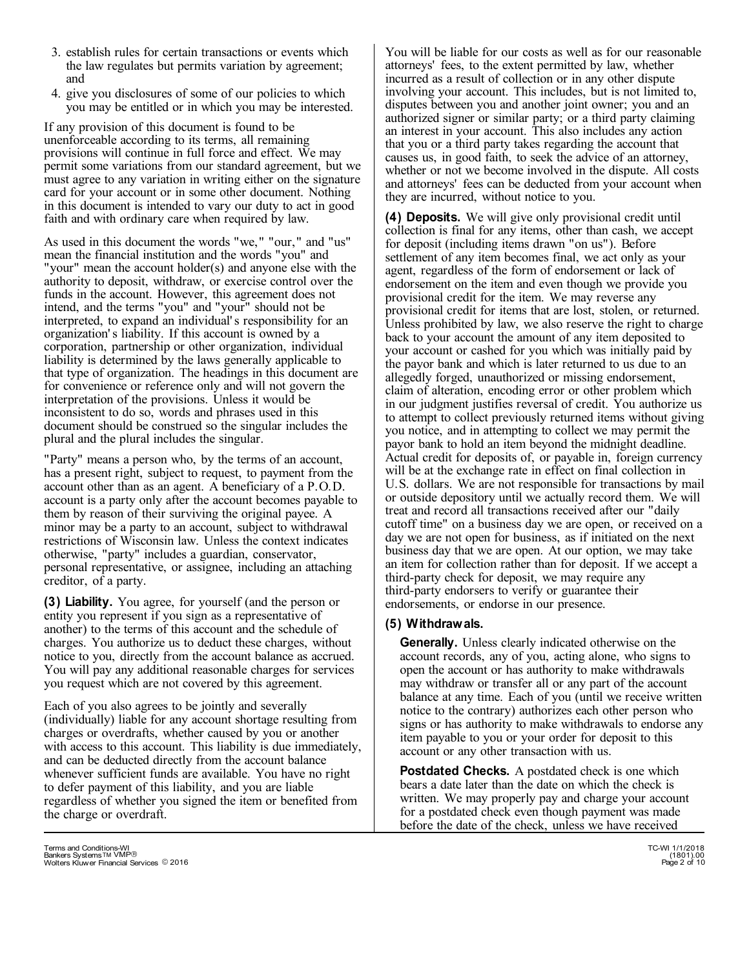- 3. establish rules for certain transactions or events which the law regulates but permits variation by agreement; and
- 4. give you disclosures of some of our policies to which you may be entitled or in which you may be interested.

If any provision of this document is found to be unenforceable according to its terms, all remaining provisions will continue in full force and effect. We may permit some variations from our standard agreement, but we must agree to any variation in writing either on the signature card for your account or in some other document. Nothing in this document is intended to vary our duty to act in good faith and with ordinary care when required by law.

As used in this document the words "we," "our," and "us" mean the financial institution and the words "you" and "your" mean the account holder(s) and anyone else with the authority to deposit, withdraw, or exercise control over the funds in the account. However, this agreement does not intend, and the terms "you" and "your" should not be interpreted, to expand an individual' s responsibility for an organization' s liability. If this account is owned by a corporation, partnership or other organization, individual liability is determined by the laws generally applicable to that type of organization. The headings in this document are for convenience or reference only and will not govern the interpretation of the provisions. Unless it would be inconsistent to do so, words and phrases used in this document should be construed so the singular includes the plural and the plural includes the singular.

"Party" means a person who, by the terms of an account, has a present right, subject to request, to payment from the account other than as an agent. A beneficiary of a P.O.D. account is a party only after the account becomes payable to them by reason of their surviving the original payee. A minor may be a party to an account, subject to withdrawal restrictions of Wisconsin law. Unless the context indicates otherwise, "party" includes a guardian, conservator, personal representative, or assignee, including an attaching creditor, of a party.

**(3) Liability.** You agree, for yourself (and the person or entity you represent if you sign as a representative of another) to the terms of this account and the schedule of charges. You authorize us to deduct these charges, without notice to you, directly from the account balance as accrued. You will pay any additional reasonable charges for services you request which are not covered by this agreement.

Each of you also agrees to be jointly and severally (individually) liable for any account shortage resulting from charges or overdrafts, whether caused by you or another with access to this account. This liability is due immediately, and can be deducted directly from the account balance whenever sufficient funds are available. You have no right to defer payment of this liability, and you are liable regardless of whether you signed the item or benefited from the charge or overdraft.

You will be liable for our costs as well as for our reasonable attorneys' fees, to the extent permitted by law, whether incurred as a result of collection or in any other dispute involving your account. This includes, but is not limited to, disputes between you and another joint owner; you and an authorized signer or similar party; or a third party claiming an interest in your account. This also includes any action that you or a third party takes regarding the account that causes us, in good faith, to seek the advice of an attorney, whether or not we become involved in the dispute. All costs and attorneys' fees can be deducted from your account when they are incurred, without notice to you.

**(4) Deposits.** We will give only provisional credit until collection is final for any items, other than cash, we accept for deposit (including items drawn "on us"). Before settlement of any item becomes final, we act only as your agent, regardless of the form of endorsement or lack of endorsement on the item and even though we provide you provisional credit for the item. We may reverse any provisional credit for items that are lost, stolen, or returned. Unless prohibited by law, we also reserve the right to charge back to your account the amount of any item deposited to your account or cashed for you which was initially paid by the payor bank and which is later returned to us due to an allegedly forged, unauthorized or missing endorsement, claim of alteration, encoding error or other problem which in our judgment justifies reversal of credit. You authorize us to attempt to collect previously returned items without giving you notice, and in attempting to collect we may permit the payor bank to hold an item beyond the midnight deadline. Actual credit for deposits of, or payable in, foreign currency will be at the exchange rate in effect on final collection in U.S. dollars. We are not responsible for transactions by mail or outside depository until we actually record them. We will treat and record all transactions received after our "daily cutoff time" on a business day we are open, or received on a day we are not open for business, as if initiated on the next business day that we are open. At our option, we may take an item for collection rather than for deposit. If we accept a third-party check for deposit, we may require any third-party endorsers to verify or guarantee their endorsements, or endorse in our presence.

## **(5) Withdrawals.**

**Generally.** Unless clearly indicated otherwise on the account records, any of you, acting alone, who signs to open the account or has authority to make withdrawals may withdraw or transfer all or any part of the account balance at any time. Each of you (until we receive written notice to the contrary) authorizes each other person who signs or has authority to make withdrawals to endorse any item payable to you or your order for deposit to this account or any other transaction with us.

**Postdated Checks.** A postdated check is one which bears a date later than the date on which the check is written. We may properly pay and charge your account for a postdated check even though payment was made before the date of the check, unless we have received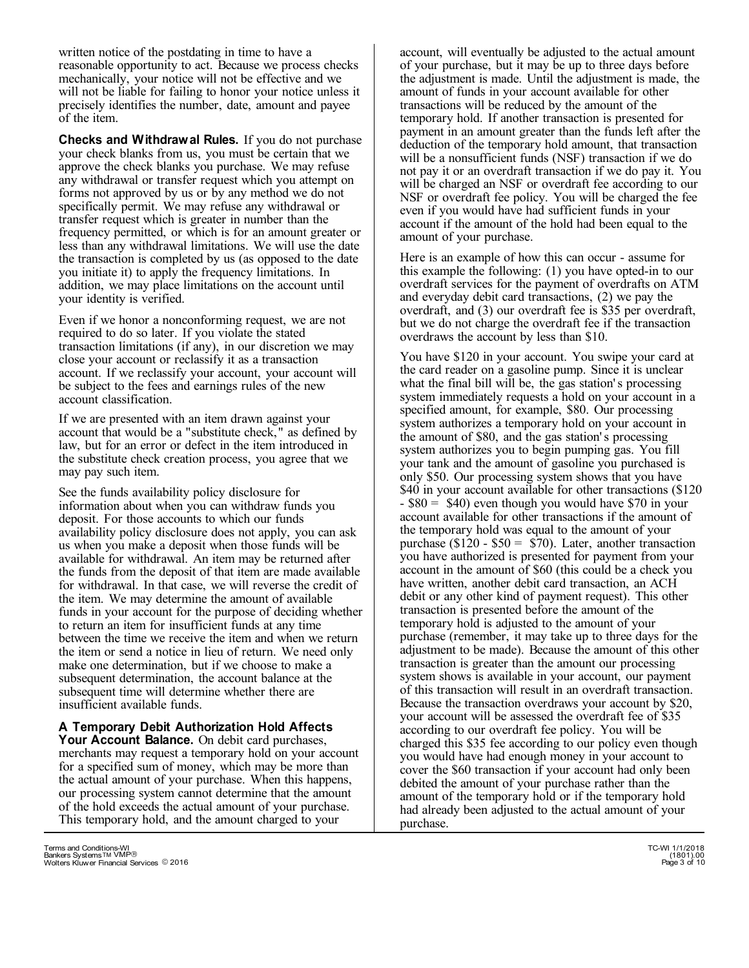written notice of the postdating in time to have a reasonable opportunity to act. Because we process checks mechanically, your notice will not be effective and we will not be liable for failing to honor your notice unless it precisely identifies the number, date, amount and payee of the item.

**Checks and Withdrawal Rules.** If you do not purchase your check blanks from us, you must be certain that we approve the check blanks you purchase. We may refuse any withdrawal or transfer request which you attempt on forms not approved by us or by any method we do not specifically permit. We may refuse any withdrawal or transfer request which is greater in number than the frequency permitted, or which is for an amount greater or less than any withdrawal limitations. We will use the date the transaction is completed by us (as opposed to the date you initiate it) to apply the frequency limitations. In addition, we may place limitations on the account until your identity is verified.

Even if we honor a nonconforming request, we are not required to do so later. If you violate the stated transaction limitations (if any), in our discretion we may close your account or reclassify it as a transaction account. If we reclassify your account, your account will be subject to the fees and earnings rules of the new account classification.

If we are presented with an item drawn against your account that would be a "substitute check," as defined by law, but for an error or defect in the item introduced in the substitute check creation process, you agree that we may pay such item.

See the funds availability policy disclosure for information about when you can withdraw funds you deposit. For those accounts to which our funds availability policy disclosure does not apply, you can ask us when you make a deposit when those funds will be available for withdrawal. An item may be returned after the funds from the deposit of that item are made available for withdrawal. In that case, we will reverse the credit of the item. We may determine the amount of available funds in your account for the purpose of deciding whether to return an item for insufficient funds at any time between the time we receive the item and when we return the item or send a notice in lieu of return. We need only make one determination, but if we choose to make a subsequent determination, the account balance at the subsequent time will determine whether there are insufficient available funds.

**A Temporary Debit Authorization Hold Affects Your Account Balance.** On debit card purchases, merchants may request a temporary hold on your account for a specified sum of money, which may be more than the actual amount of your purchase. When this happens, our processing system cannot determine that the amount of the hold exceeds the actual amount of your purchase. This temporary hold, and the amount charged to your

account, will eventually be adjusted to the actual amount of your purchase, but it may be up to three days before the adjustment is made. Until the adjustment is made, the amount of funds in your account available for other transactions will be reduced by the amount of the temporary hold. If another transaction is presented for payment in an amount greater than the funds left after the deduction of the temporary hold amount, that transaction will be a nonsufficient funds (NSF) transaction if we do not pay it or an overdraft transaction if we do pay it. You will be charged an NSF or overdraft fee according to our NSF or overdraft fee policy. You will be charged the fee even if you would have had sufficient funds in your account if the amount of the hold had been equal to the amount of your purchase.

Here is an example of how this can occur - assume for this example the following: (1) you have opted-in to our overdraft services for the payment of overdrafts on ATM and everyday debit card transactions, (2) we pay the overdraft, and (3) our overdraft fee is \$35 per overdraft, but we do not charge the overdraft fee if the transaction overdraws the account by less than \$10.

You have \$120 in your account. You swipe your card at the card reader on a gasoline pump. Since it is unclear what the final bill will be, the gas station's processing system immediately requests a hold on your account in a specified amount, for example, \$80. Our processing system authorizes a temporary hold on your account in the amount of \$80, and the gas station' s processing system authorizes you to begin pumping gas. You fill your tank and the amount of gasoline you purchased is only \$50. Our processing system shows that you have \$40 in your account available for other transactions (\$120)  $-$  \$80 = \$40) even though you would have \$70 in your account available for other transactions if the amount of the temporary hold was equal to the amount of your purchase ( $$120 - $50 = $70$ ). Later, another transaction you have authorized is presented for payment from your account in the amount of \$60 (this could be a check you have written, another debit card transaction, an ACH debit or any other kind of payment request). This other transaction is presented before the amount of the temporary hold is adjusted to the amount of your purchase (remember, it may take up to three days for the adjustment to be made). Because the amount of this other transaction is greater than the amount our processing system shows is available in your account, our payment of this transaction will result in an overdraft transaction. Because the transaction overdraws your account by \$20, your account will be assessed the overdraft fee of \$35 according to our overdraft fee policy. You will be charged this \$35 fee according to our policy even though you would have had enough money in your account to cover the \$60 transaction if your account had only been debited the amount of your purchase rather than the amount of the temporary hold or if the temporary hold had already been adjusted to the actual amount of your purchase.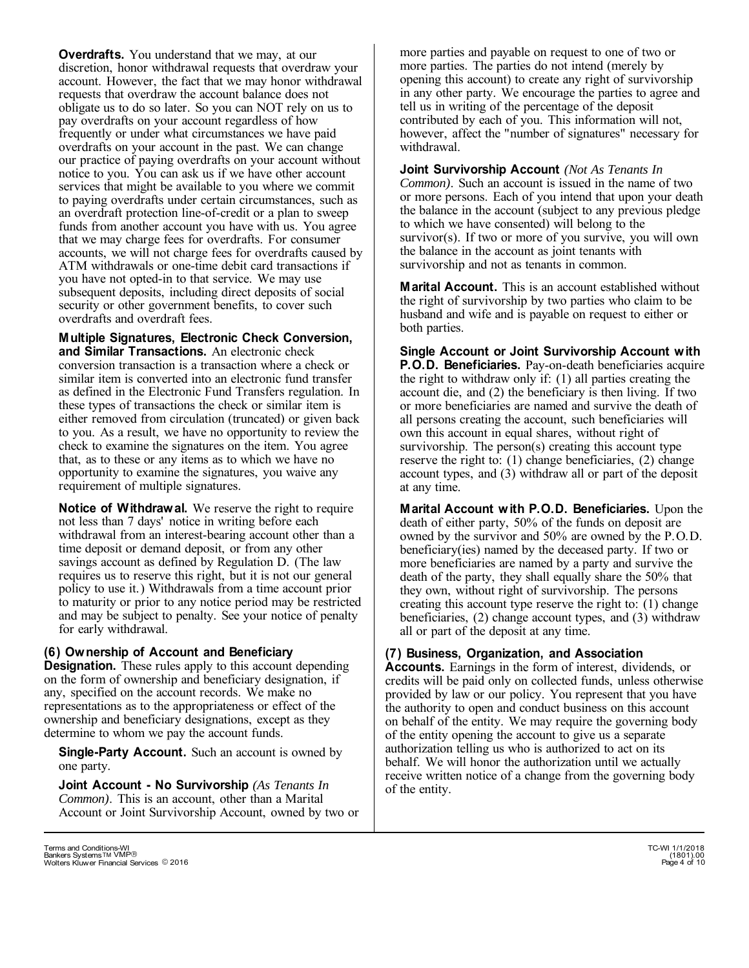**Overdrafts.** You understand that we may, at our discretion, honor withdrawal requests that overdraw your account. However, the fact that we may honor withdrawal requests that overdraw the account balance does not obligate us to do so later. So you can NOT rely on us to pay overdrafts on your account regardless of how frequently or under what circumstances we have paid overdrafts on your account in the past. We can change our practice of paying overdrafts on your account without notice to you. You can ask us if we have other account services that might be available to you where we commit to paying overdrafts under certain circumstances, such as an overdraft protection line-of-credit or a plan to sweep funds from another account you have with us. You agree that we may charge fees for overdrafts. For consumer accounts, we will not charge fees for overdrafts caused by ATM withdrawals or one-time debit card transactions if you have not opted-in to that service. We may use subsequent deposits, including direct deposits of social security or other government benefits, to cover such overdrafts and overdraft fees.

**Multiple Signatures, Electronic Check Conversion, and Similar Transactions.** An electronic check conversion transaction is a transaction where a check or similar item is converted into an electronic fund transfer as defined in the Electronic Fund Transfers regulation. In these types of transactions the check or similar item is either removed from circulation (truncated) or given back to you. As a result, we have no opportunity to review the check to examine the signatures on the item. You agree that, as to these or any items as to which we have no opportunity to examine the signatures, you waive any requirement of multiple signatures.

**Notice of Withdrawal.** We reserve the right to require not less than 7 days' notice in writing before each withdrawal from an interest-bearing account other than a time deposit or demand deposit, or from any other savings account as defined by Regulation D. (The law requires us to reserve this right, but it is not our general policy to use it.) Withdrawals from a time account prior to maturity or prior to any notice period may be restricted and may be subject to penalty. See your notice of penalty for early withdrawal.

## **(6) Ownership of Account and Beneficiary**

**Designation.** These rules apply to this account depending on the form of ownership and beneficiary designation, if any, specified on the account records. We make no representations as to the appropriateness or effect of the ownership and beneficiary designations, except as they determine to whom we pay the account funds.

**Single-Party Account.** Such an account is owned by one party.

**Joint Account - No Survivorship** *(As Tenants In Common)*. This is an account, other than a Marital Account or Joint Survivorship Account, owned by two or more parties and payable on request to one of two or more parties. The parties do not intend (merely by opening this account) to create any right of survivorship in any other party. We encourage the parties to agree and tell us in writing of the percentage of the deposit contributed by each of you. This information will not, however, affect the "number of signatures" necessary for withdrawal.

**Joint Survivorship Account** *(Not As Tenants In Common)*. Such an account is issued in the name of two or more persons. Each of you intend that upon your death the balance in the account (subject to any previous pledge to which we have consented) will belong to the survivor(s). If two or more of you survive, you will own the balance in the account as joint tenants with survivorship and not as tenants in common.

**Marital Account.** This is an account established without the right of survivorship by two parties who claim to be husband and wife and is payable on request to either or both parties.

**Single Account or Joint Survivorship Account with P.O.D. Beneficiaries.** Pay-on-death beneficiaries acquire the right to withdraw only if: (1) all parties creating the account die, and (2) the beneficiary is then living. If two or more beneficiaries are named and survive the death of all persons creating the account, such beneficiaries will own this account in equal shares, without right of survivorship. The person(s) creating this account type reserve the right to: (1) change beneficiaries, (2) change account types, and (3) withdraw all or part of the deposit at any time.

**Marital Account with P.O.D. Beneficiaries.** Upon the death of either party, 50% of the funds on deposit are owned by the survivor and 50% are owned by the P.O.D. beneficiary(ies) named by the deceased party. If two or more beneficiaries are named by a party and survive the death of the party, they shall equally share the 50% that they own, without right of survivorship. The persons creating this account type reserve the right to: (1) change beneficiaries, (2) change account types, and (3) withdraw all or part of the deposit at any time.

# **(7) Business, Organization, and Association**

**Accounts.** Earnings in the form of interest, dividends, or credits will be paid only on collected funds, unless otherwise provided by law or our policy. You represent that you have the authority to open and conduct business on this account on behalf of the entity. We may require the governing body of the entity opening the account to give us a separate authorization telling us who is authorized to act on its behalf. We will honor the authorization until we actually receive written notice of a change from the governing body of the entity.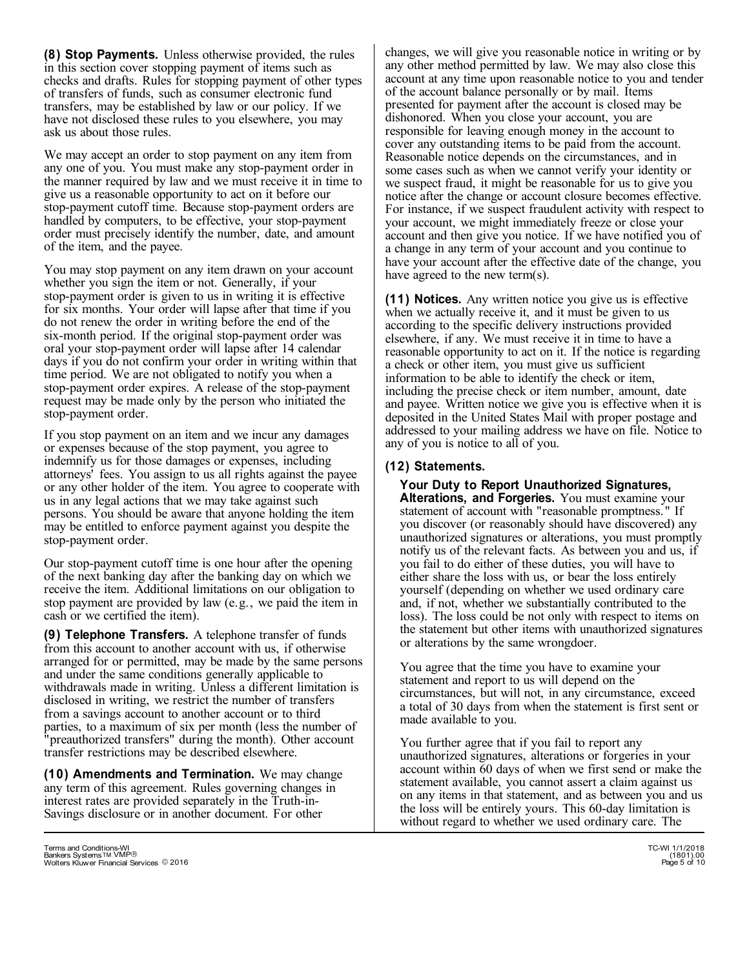**(8) Stop Payments.** Unless otherwise provided, the rules in this section cover stopping payment of items such as checks and drafts. Rules for stopping payment of other types of transfers of funds, such as consumer electronic fund transfers, may be established by law or our policy. If we have not disclosed these rules to you elsewhere, you may ask us about those rules.

We may accept an order to stop payment on any item from any one of you. You must make any stop-payment order in the manner required by law and we must receive it in time to give us a reasonable opportunity to act on it before our stop-payment cutoff time. Because stop-payment orders are handled by computers, to be effective, your stop-payment order must precisely identify the number, date, and amount of the item, and the payee.

You may stop payment on any item drawn on your account whether you sign the item or not. Generally, if your stop-payment order is given to us in writing it is effective for six months. Your order will lapse after that time if you do not renew the order in writing before the end of the six-month period. If the original stop-payment order was oral your stop-payment order will lapse after 14 calendar days if you do not confirm your order in writing within that time period. We are not obligated to notify you when a stop-payment order expires. A release of the stop-payment request may be made only by the person who initiated the stop-payment order.

If you stop payment on an item and we incur any damages or expenses because of the stop payment, you agree to indemnify us for those damages or expenses, including attorneys' fees. You assign to us all rights against the payee or any other holder of the item. You agree to cooperate with us in any legal actions that we may take against such persons. You should be aware that anyone holding the item may be entitled to enforce payment against you despite the stop-payment order.

Our stop-payment cutoff time is one hour after the opening of the next banking day after the banking day on which we receive the item. Additional limitations on our obligation to stop payment are provided by law (e.g., we paid the item in cash or we certified the item).

**(9) Telephone Transfers.** A telephone transfer of funds from this account to another account with us, if otherwise arranged for or permitted, may be made by the same persons and under the same conditions generally applicable to withdrawals made in writing. Unless a different limitation is disclosed in writing, we restrict the number of transfers from a savings account to another account or to third parties, to a maximum of six per month (less the number of "preauthorized transfers" during the month). Other account transfer restrictions may be described elsewhere.

**(10) Amendments and Termination.** We may change any term of this agreement. Rules governing changes in interest rates are provided separately in the Truth-in-Savings disclosure or in another document. For other

changes, we will give you reasonable notice in writing or by any other method permitted by law. We may also close this account at any time upon reasonable notice to you and tender of the account balance personally or by mail. Items presented for payment after the account is closed may be dishonored. When you close your account, you are responsible for leaving enough money in the account to cover any outstanding items to be paid from the account. Reasonable notice depends on the circumstances, and in some cases such as when we cannot verify your identity or we suspect fraud, it might be reasonable for us to give you notice after the change or account closure becomes effective. For instance, if we suspect fraudulent activity with respect to your account, we might immediately freeze or close your account and then give you notice. If we have notified you of a change in any term of your account and you continue to have your account after the effective date of the change, you have agreed to the new term(s).

**(11) Notices.** Any written notice you give us is effective when we actually receive it, and it must be given to us according to the specific delivery instructions provided elsewhere, if any. We must receive it in time to have a reasonable opportunity to act on it. If the notice is regarding a check or other item, you must give us sufficient information to be able to identify the check or item, including the precise check or item number, amount, date and payee. Written notice we give you is effective when it is deposited in the United States Mail with proper postage and addressed to your mailing address we have on file. Notice to any of you is notice to all of you.

#### **(12) Statements.**

**Your Duty to Report Unauthorized Signatures, Alterations, and Forgeries.** You must examine your statement of account with "reasonable promptness." If you discover (or reasonably should have discovered) any unauthorized signatures or alterations, you must promptly notify us of the relevant facts. As between you and us, if you fail to do either of these duties, you will have to either share the loss with us, or bear the loss entirely yourself (depending on whether we used ordinary care and, if not, whether we substantially contributed to the loss). The loss could be not only with respect to items on the statement but other items with unauthorized signatures or alterations by the same wrongdoer.

You agree that the time you have to examine your statement and report to us will depend on the circumstances, but will not, in any circumstance, exceed a total of 30 days from when the statement is first sent or made available to you.

You further agree that if you fail to report any unauthorized signatures, alterations or forgeries in your account within 60 days of when we first send or make the statement available, you cannot assert a claim against us on any items in that statement, and as between you and us the loss will be entirely yours. This 60-day limitation is without regard to whether we used ordinary care. The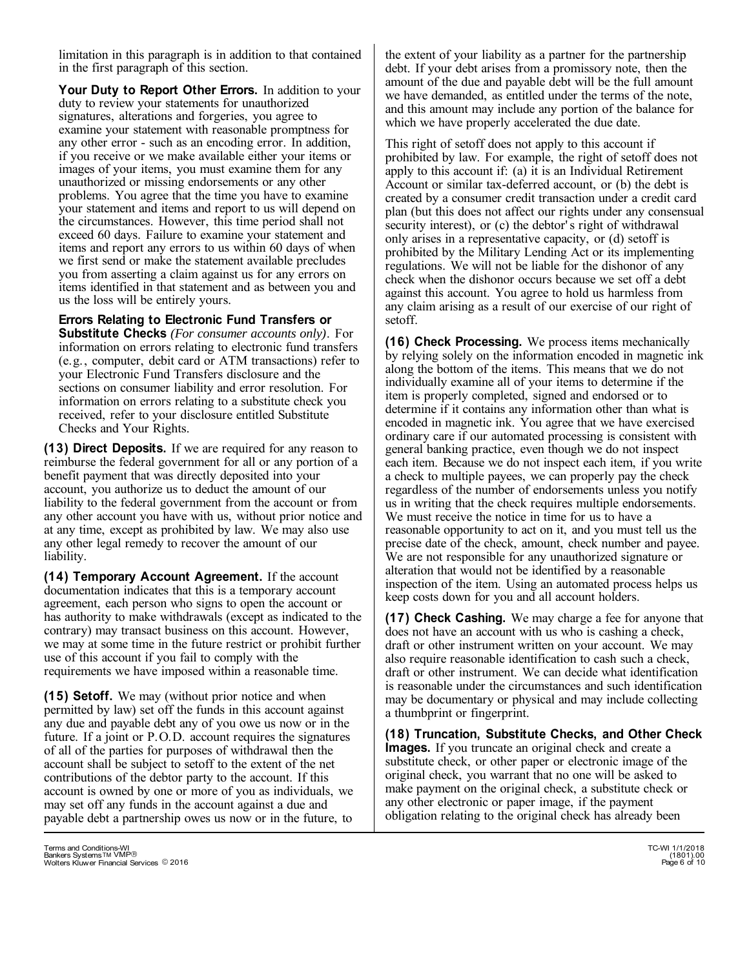limitation in this paragraph is in addition to that contained in the first paragraph of this section.

Your Duty to Report Other Errors. In addition to your duty to review your statements for unauthorized signatures, alterations and forgeries, you agree to examine your statement with reasonable promptness for any other error - such as an encoding error. In addition, if you receive or we make available either your items or images of your items, you must examine them for any unauthorized or missing endorsements or any other problems. You agree that the time you have to examine your statement and items and report to us will depend on the circumstances. However, this time period shall not exceed 60 days. Failure to examine your statement and items and report any errors to us within 60 days of when we first send or make the statement available precludes you from asserting a claim against us for any errors on items identified in that statement and as between you and us the loss will be entirely yours.

**Errors Relating to Electronic Fund Transfers or Substitute Checks** *(For consumer accounts only)*. For information on errors relating to electronic fund transfers (e.g., computer, debit card or ATM transactions) refer to your Electronic Fund Transfers disclosure and the sections on consumer liability and error resolution. For information on errors relating to a substitute check you received, refer to your disclosure entitled Substitute Checks and Your Rights.

**(13) Direct Deposits.** If we are required for any reason to reimburse the federal government for all or any portion of a benefit payment that was directly deposited into your account, you authorize us to deduct the amount of our liability to the federal government from the account or from any other account you have with us, without prior notice and at any time, except as prohibited by law. We may also use any other legal remedy to recover the amount of our liability.

**(14) Temporary Account Agreement.** If the account documentation indicates that this is a temporary account agreement, each person who signs to open the account or has authority to make withdrawals (except as indicated to the contrary) may transact business on this account. However, we may at some time in the future restrict or prohibit further use of this account if you fail to comply with the requirements we have imposed within a reasonable time.

**(15) Setoff.** We may (without prior notice and when permitted by law) set off the funds in this account against any due and payable debt any of you owe us now or in the future. If a joint or P.O.D. account requires the signatures of all of the parties for purposes of withdrawal then the account shall be subject to setoff to the extent of the net contributions of the debtor party to the account. If this account is owned by one or more of you as individuals, we may set off any funds in the account against a due and payable debt a partnership owes us now or in the future, to

This right of setoff does not apply to this account if prohibited by law. For example, the right of setoff does not apply to this account if: (a) it is an Individual Retirement Account or similar tax-deferred account, or (b) the debt is created by a consumer credit transaction under a credit card plan (but this does not affect our rights under any consensual security interest), or (c) the debtor' s right of withdrawal only arises in a representative capacity, or (d) setoff is prohibited by the Military Lending Act or its implementing regulations. We will not be liable for the dishonor of any check when the dishonor occurs because we set off a debt against this account. You agree to hold us harmless from any claim arising as a result of our exercise of our right of setoff.

**(16) Check Processing.** We process items mechanically by relying solely on the information encoded in magnetic ink along the bottom of the items. This means that we do not individually examine all of your items to determine if the item is properly completed, signed and endorsed or to determine if it contains any information other than what is encoded in magnetic ink. You agree that we have exercised ordinary care if our automated processing is consistent with general banking practice, even though we do not inspect each item. Because we do not inspect each item, if you write a check to multiple payees, we can properly pay the check regardless of the number of endorsements unless you notify us in writing that the check requires multiple endorsements. We must receive the notice in time for us to have a reasonable opportunity to act on it, and you must tell us the precise date of the check, amount, check number and payee. We are not responsible for any unauthorized signature or alteration that would not be identified by a reasonable inspection of the item. Using an automated process helps us keep costs down for you and all account holders.

**(17) Check Cashing.** We may charge a fee for anyone that does not have an account with us who is cashing a check, draft or other instrument written on your account. We may also require reasonable identification to cash such a check, draft or other instrument. We can decide what identification is reasonable under the circumstances and such identification may be documentary or physical and may include collecting a thumbprint or fingerprint.

**(18) Truncation, Substitute Checks, and Other Check Images.** If you truncate an original check and create a substitute check, or other paper or electronic image of the original check, you warrant that no one will be asked to make payment on the original check, a substitute check or any other electronic or paper image, if the payment obligation relating to the original check has already been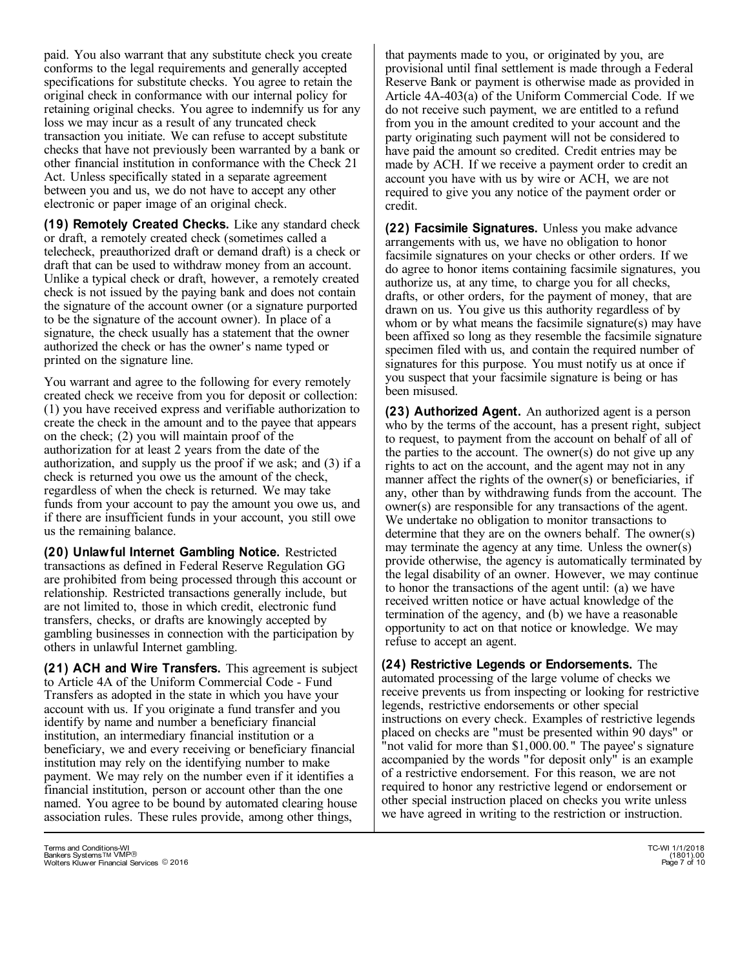paid. You also warrant that any substitute check you create conforms to the legal requirements and generally accepted specifications for substitute checks. You agree to retain the original check in conformance with our internal policy for retaining original checks. You agree to indemnify us for any loss we may incur as a result of any truncated check transaction you initiate. We can refuse to accept substitute checks that have not previously been warranted by a bank or other financial institution in conformance with the Check 21 Act. Unless specifically stated in a separate agreement between you and us, we do not have to accept any other electronic or paper image of an original check.

**(19) Remotely Created Checks.** Like any standard check or draft, a remotely created check (sometimes called a telecheck, preauthorized draft or demand draft) is a check or draft that can be used to withdraw money from an account. Unlike a typical check or draft, however, a remotely created check is not issued by the paying bank and does not contain the signature of the account owner (or a signature purported to be the signature of the account owner). In place of a signature, the check usually has a statement that the owner authorized the check or has the owner' s name typed or printed on the signature line.

You warrant and agree to the following for every remotely created check we receive from you for deposit or collection: (1) you have received express and verifiable authorization to create the check in the amount and to the payee that appears on the check; (2) you will maintain proof of the authorization for at least 2 years from the date of the authorization, and supply us the proof if we ask; and (3) if a check is returned you owe us the amount of the check, regardless of when the check is returned. We may take funds from your account to pay the amount you owe us, and if there are insufficient funds in your account, you still owe us the remaining balance.

**(20) Unlawful Internet Gambling Notice.** Restricted transactions as defined in Federal Reserve Regulation GG are prohibited from being processed through this account or relationship. Restricted transactions generally include, but are not limited to, those in which credit, electronic fund transfers, checks, or drafts are knowingly accepted by gambling businesses in connection with the participation by others in unlawful Internet gambling.

**(21) ACH and Wire Transfers.** This agreement is subject to Article 4A of the Uniform Commercial Code - Fund Transfers as adopted in the state in which you have your account with us. If you originate a fund transfer and you identify by name and number a beneficiary financial institution, an intermediary financial institution or a beneficiary, we and every receiving or beneficiary financial institution may rely on the identifying number to make payment. We may rely on the number even if it identifies a financial institution, person or account other than the one named. You agree to be bound by automated clearing house association rules. These rules provide, among other things,

that payments made to you, or originated by you, are provisional until final settlement is made through a Federal Reserve Bank or payment is otherwise made as provided in Article 4A-403(a) of the Uniform Commercial Code. If we do not receive such payment, we are entitled to a refund from you in the amount credited to your account and the party originating such payment will not be considered to have paid the amount so credited. Credit entries may be made by ACH. If we receive a payment order to credit an account you have with us by wire or ACH, we are not required to give you any notice of the payment order or credit.

**(22) Facsimile Signatures.** Unless you make advance arrangements with us, we have no obligation to honor facsimile signatures on your checks or other orders. If we do agree to honor items containing facsimile signatures, you authorize us, at any time, to charge you for all checks, drafts, or other orders, for the payment of money, that are drawn on us. You give us this authority regardless of by whom or by what means the facsimile signature(s) may have been affixed so long as they resemble the facsimile signature specimen filed with us, and contain the required number of signatures for this purpose. You must notify us at once if you suspect that your facsimile signature is being or has been misused.

**(23) Authorized Agent.** An authorized agent is a person who by the terms of the account, has a present right, subject to request, to payment from the account on behalf of all of the parties to the account. The owner(s) do not give up any rights to act on the account, and the agent may not in any manner affect the rights of the owner(s) or beneficiaries, if any, other than by withdrawing funds from the account. The owner(s) are responsible for any transactions of the agent. We undertake no obligation to monitor transactions to determine that they are on the owners behalf. The owner(s) may terminate the agency at any time. Unless the owner(s) provide otherwise, the agency is automatically terminated by the legal disability of an owner. However, we may continue to honor the transactions of the agent until: (a) we have received written notice or have actual knowledge of the termination of the agency, and (b) we have a reasonable opportunity to act on that notice or knowledge. We may refuse to accept an agent.

**(24) Restrictive Legends or Endorsements.** The automated processing of the large volume of checks we receive prevents us from inspecting or looking for restrictive legends, restrictive endorsements or other special instructions on every check. Examples of restrictive legends placed on checks are "must be presented within 90 days" or "not valid for more than \$1,000.00." The payee's signature accompanied by the words "for deposit only" is an example of a restrictive endorsement. For this reason, we are not required to honor any restrictive legend or endorsement or other special instruction placed on checks you write unless we have agreed in writing to the restriction or instruction.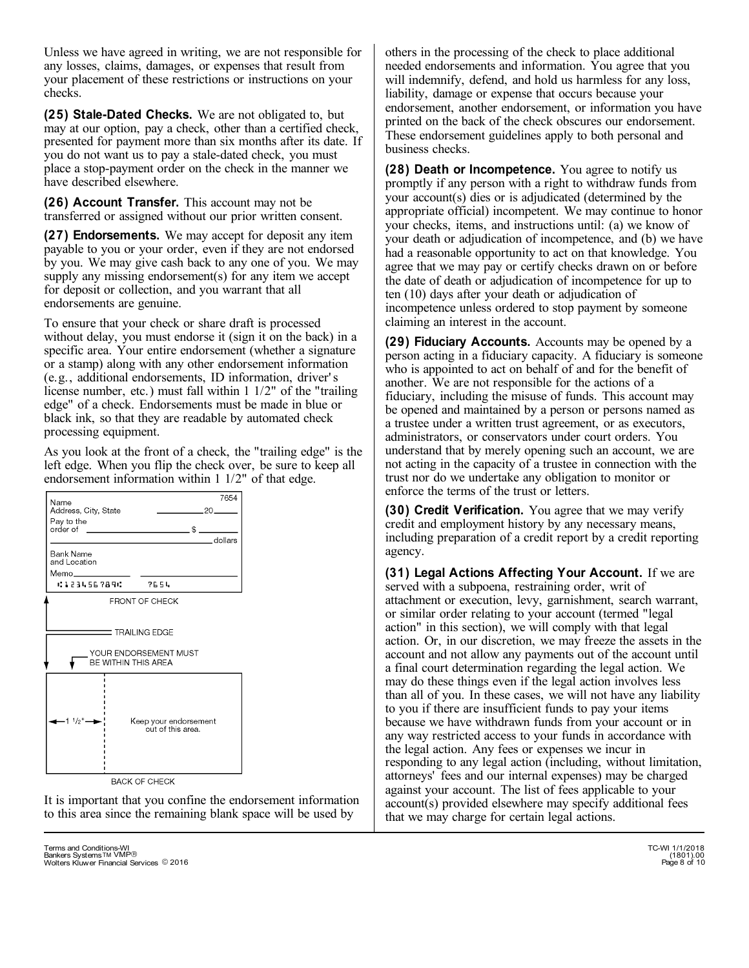Unless we have agreed in writing, we are not responsible for any losses, claims, damages, or expenses that result from your placement of these restrictions or instructions on your checks.

**(25) Stale-Dated Checks.** We are not obligated to, but may at our option, pay a check, other than a certified check, presented for payment more than six months after its date. If you do not want us to pay a stale-dated check, you must place a stop-payment order on the check in the manner we have described elsewhere.

**(26) Account Transfer.** This account may not be transferred or assigned without our prior written consent.

**(27) Endorsements.** We may accept for deposit any item payable to you or your order, even if they are not endorsed by you. We may give cash back to any one of you. We may supply any missing endorsement(s) for any item we accept for deposit or collection, and you warrant that all endorsements are genuine.

To ensure that your check or share draft is processed without delay, you must endorse it (sign it on the back) in a specific area. Your entire endorsement (whether a signature or a stamp) along with any other endorsement information (e.g., additional endorsements, ID information, driver' s license number, etc.) must fall within 1 1/2" of the "trailing edge" of a check. Endorsements must be made in blue or black ink, so that they are readable by automated check processing equipment.

As you look at the front of a check, the "trailing edge" is the left edge. When you flip the check over, be sure to keep all endorsement information within 1 1/2" of that edge.



It is important that you confine the endorsement information to this area since the remaining blank space will be used by

others in the processing of the check to place additional needed endorsements and information. You agree that you will indemnify, defend, and hold us harmless for any loss, liability, damage or expense that occurs because your endorsement, another endorsement, or information you have printed on the back of the check obscures our endorsement. These endorsement guidelines apply to both personal and business checks.

**(28) Death or Incompetence.** You agree to notify us promptly if any person with a right to withdraw funds from your account(s) dies or is adjudicated (determined by the appropriate official) incompetent. We may continue to honor your checks, items, and instructions until: (a) we know of your death or adjudication of incompetence, and (b) we have had a reasonable opportunity to act on that knowledge. You agree that we may pay or certify checks drawn on or before the date of death or adjudication of incompetence for up to ten (10) days after your death or adjudication of incompetence unless ordered to stop payment by someone claiming an interest in the account.

**(29) Fiduciary Accounts.** Accounts may be opened by a person acting in a fiduciary capacity. A fiduciary is someone who is appointed to act on behalf of and for the benefit of another. We are not responsible for the actions of a fiduciary, including the misuse of funds. This account may be opened and maintained by a person or persons named as a trustee under a written trust agreement, or as executors, administrators, or conservators under court orders. You understand that by merely opening such an account, we are not acting in the capacity of a trustee in connection with the trust nor do we undertake any obligation to monitor or enforce the terms of the trust or letters.

**(30) Credit Verification.** You agree that we may verify credit and employment history by any necessary means, including preparation of a credit report by a credit reporting agency.

**(31) Legal Actions Affecting Your Account.** If we are served with a subpoena, restraining order, writ of attachment or execution, levy, garnishment, search warrant, or similar order relating to your account (termed "legal action" in this section), we will comply with that legal action. Or, in our discretion, we may freeze the assets in the account and not allow any payments out of the account until a final court determination regarding the legal action. We may do these things even if the legal action involves less than all of you. In these cases, we will not have any liability to you if there are insufficient funds to pay your items because we have withdrawn funds from your account or in any way restricted access to your funds in accordance with the legal action. Any fees or expenses we incur in responding to any legal action (including, without limitation, attorneys' fees and our internal expenses) may be charged against your account. The list of fees applicable to your account(s) provided elsewhere may specify additional fees that we may charge for certain legal actions.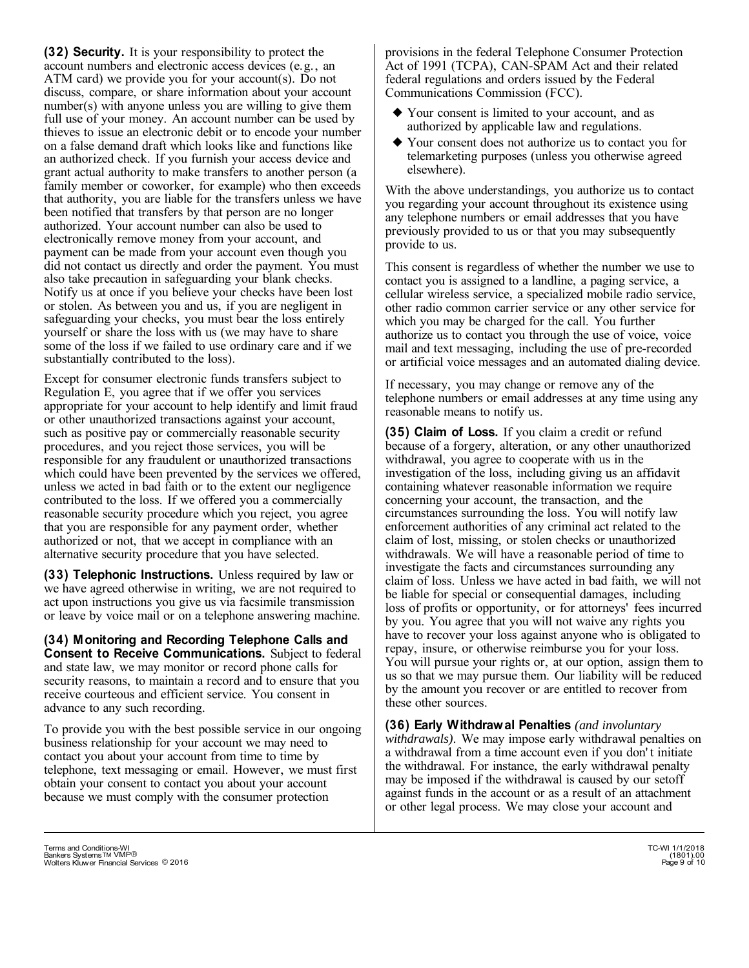**(32) Security.** It is your responsibility to protect the account numbers and electronic access devices (e.g., an ATM card) we provide you for your account(s). Do not discuss, compare, or share information about your account number(s) with anyone unless you are willing to give them full use of your money. An account number can be used by thieves to issue an electronic debit or to encode your number on a false demand draft which looks like and functions like an authorized check. If you furnish your access device and grant actual authority to make transfers to another person (a family member or coworker, for example) who then exceeds that authority, you are liable for the transfers unless we have been notified that transfers by that person are no longer authorized. Your account number can also be used to electronically remove money from your account, and payment can be made from your account even though you did not contact us directly and order the payment. You must also take precaution in safeguarding your blank checks. Notify us at once if you believe your checks have been lost or stolen. As between you and us, if you are negligent in safeguarding your checks, you must bear the loss entirely yourself or share the loss with us (we may have to share some of the loss if we failed to use ordinary care and if we substantially contributed to the loss).

Except for consumer electronic funds transfers subject to Regulation E, you agree that if we offer you services appropriate for your account to help identify and limit fraud or other unauthorized transactions against your account, such as positive pay or commercially reasonable security procedures, and you reject those services, you will be responsible for any fraudulent or unauthorized transactions which could have been prevented by the services we offered, unless we acted in bad faith or to the extent our negligence contributed to the loss. If we offered you a commercially reasonable security procedure which you reject, you agree that you are responsible for any payment order, whether authorized or not, that we accept in compliance with an alternative security procedure that you have selected.

**(33) Telephonic Instructions.** Unless required by law or we have agreed otherwise in writing, we are not required to act upon instructions you give us via facsimile transmission or leave by voice mail or on a telephone answering machine.

**(34) Monitoring and Recording Telephone Calls and Consent to Receive Communications.** Subject to federal and state law, we may monitor or record phone calls for security reasons, to maintain a record and to ensure that you receive courteous and efficient service. You consent in advance to any such recording.

To provide you with the best possible service in our ongoing business relationship for your account we may need to contact you about your account from time to time by telephone, text messaging or email. However, we must first obtain your consent to contact you about your account because we must comply with the consumer protection

provisions in the federal Telephone Consumer Protection Act of 1991 (TCPA), CAN-SPAM Act and their related federal regulations and orders issued by the Federal Communications Commission (FCC).

- Your consent is limited to your account, and as } authorized by applicable law and regulations.
- Your consent does not authorize us to contact you for } telemarketing purposes (unless you otherwise agreed elsewhere).

With the above understandings, you authorize us to contact you regarding your account throughout its existence using any telephone numbers or email addresses that you have previously provided to us or that you may subsequently provide to us.

This consent is regardless of whether the number we use to contact you is assigned to a landline, a paging service, a cellular wireless service, a specialized mobile radio service, other radio common carrier service or any other service for which you may be charged for the call. You further authorize us to contact you through the use of voice, voice mail and text messaging, including the use of pre-recorded or artificial voice messages and an automated dialing device.

If necessary, you may change or remove any of the telephone numbers or email addresses at any time using any reasonable means to notify us.

**(35) Claim of Loss.** If you claim a credit or refund because of a forgery, alteration, or any other unauthorized withdrawal, you agree to cooperate with us in the investigation of the loss, including giving us an affidavit containing whatever reasonable information we require concerning your account, the transaction, and the circumstances surrounding the loss. You will notify law enforcement authorities of any criminal act related to the claim of lost, missing, or stolen checks or unauthorized withdrawals. We will have a reasonable period of time to investigate the facts and circumstances surrounding any claim of loss. Unless we have acted in bad faith, we will not be liable for special or consequential damages, including loss of profits or opportunity, or for attorneys' fees incurred by you. You agree that you will not waive any rights you have to recover your loss against anyone who is obligated to repay, insure, or otherwise reimburse you for your loss. You will pursue your rights or, at our option, assign them to us so that we may pursue them. Our liability will be reduced by the amount you recover or are entitled to recover from these other sources.

**(36) Early Withdrawal Penalties** *(and involuntary withdrawals)*. We may impose early withdrawal penalties on a withdrawal from a time account even if you don' t initiate the withdrawal. For instance, the early withdrawal penalty may be imposed if the withdrawal is caused by our setoff against funds in the account or as a result of an attachment or other legal process. We may close your account and